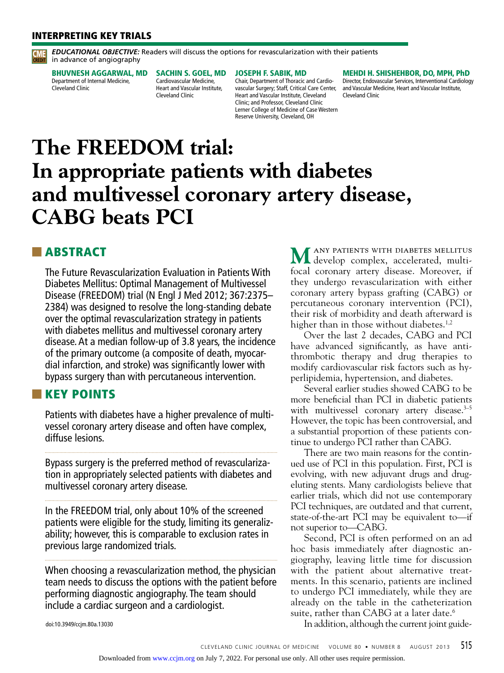#### INTERPRETING KEY TRIALS

*EDUCATIONAL OBJECTIVE:* Readers will discuss the options for revascularization with their patients **CREDIT** in advance of angiography

BHUVNESH AGGARWAL, MD Department of Internal Medicine, Cleveland Clinic

SACHIN S. GOEL, MD Cardiovascular Medicine, Heart and Vascular Institute, Cleveland Clinic

#### JOSEPH F. SABIK, MD

Chair, Department of Thoracic and Cardiovascular Surgery; Staff, Critical Care Center, Heart and Vascular Institute, Cleveland Clinic; and Professor, Cleveland Clinic Lerner College of Medicine of Case Western Reserve University, Cleveland, OH

#### MEHDI H. SHISHEHBOR, DO, MPH, PhD

Director, Endovascular Services, Interventional Cardiology and Vascular Medicine, Heart and Vascular Institute, Cleveland Clinic

# **The FREEDOM trial: In appropriate patients with diabetes and multivessel coronary artery disease, CABG beats PCI**

## ■ ABSTRACT

The Future Revascularization Evaluation in Patients With Diabetes Mellitus: Optimal Management of Multivessel Disease (FREEDOM) trial (N Engl J Med 2012; 367:2375– 2384) was designed to resolve the long-standing debate over the optimal revascularization strategy in patients with diabetes mellitus and multivessel coronary artery disease. At a median follow-up of 3.8 years, the incidence of the primary outcome (a composite of death, myocardial infarction, and stroke) was significantly lower with bypass surgery than with percutaneous intervention.

## ■■ KEY POINTS

Patients with diabetes have a higher prevalence of multivessel coronary artery disease and often have complex, diffuse lesions.

Bypass surgery is the preferred method of revascularization in appropriately selected patients with diabetes and multivessel coronary artery disease.

In the FREEDOM trial, only about 10% of the screened patients were eligible for the study, limiting its generalizability; however, this is comparable to exclusion rates in previous large randomized trials.

When choosing a revascularization method, the physician team needs to discuss the options with the patient before performing diagnostic angiography. The team should include a cardiac surgeon and a cardiologist.

M ANY PATIENTS WITH DIABETES MELLITUS develop complex, accelerated, multifocal coronary artery disease. Moreover, if they undergo revascularization with either coronary artery bypass grafting (CABG) or percutaneous coronary intervention (PCI), their risk of morbidity and death afterward is higher than in those without diabetes.<sup>1,2</sup>

Over the last 2 decades, CABG and PCI have advanced significantly, as have antithrombotic therapy and drug therapies to modify cardiovascular risk factors such as hyperlipidemia, hypertension, and diabetes.

Several earlier studies showed CABG to be more beneficial than PCI in diabetic patients with multivessel coronary artery disease.<sup>3-5</sup> However, the topic has been controversial, and a substantial proportion of these patients continue to undergo PCI rather than CABG.

There are two main reasons for the continued use of PCI in this population. First, PCI is evolving, with new adjuvant drugs and drugeluting stents. Many cardiologists believe that earlier trials, which did not use contemporary PCI techniques, are outdated and that current, state-of-the-art PCI may be equivalent to—if not superior to—CABG.

Second, PCI is often performed on an ad hoc basis immediately after diagnostic angiography, leaving little time for discussion with the patient about alternative treatments. In this scenario, patients are inclined to undergo PCI immediately, while they are already on the table in the catheterization suite, rather than CABG at a later date.<sup>6</sup>

In addition, although the current joint guide-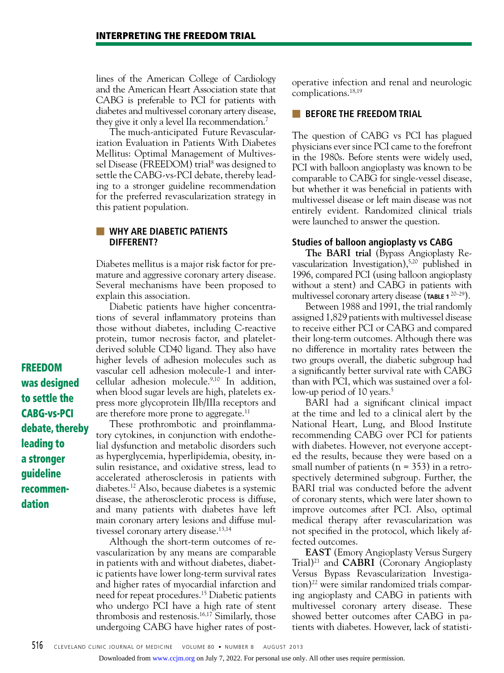lines of the American College of Cardiology and the American Heart Association state that CABG is preferable to PCI for patients with diabetes and multivessel coronary artery disease, they give it only a level IIa recommendation.7

The much-anticipated Future Revascularization Evaluation in Patients With Diabetes Mellitus: Optimal Management of Multivessel Disease (FREEDOM) trial<sup>8</sup> was designed to settle the CABG-vs-PCI debate, thereby leading to a stronger guideline recommendation for the preferred revascularization strategy in this patient population.

#### ■ **WHY ARE DIABETIC PATIENTS DIFFERENT?**

Diabetes mellitus is a major risk factor for premature and aggressive coronary artery disease. Several mechanisms have been proposed to explain this association.

Diabetic patients have higher concentrations of several inflammatory proteins than those without diabetes, including C-reactive protein, tumor necrosis factor, and plateletderived soluble CD40 ligand. They also have higher levels of adhesion molecules such as vascular cell adhesion molecule-1 and intercellular adhesion molecule.9,10 In addition, when blood sugar levels are high, platelets express more glycoprotein IIb/IIIa receptors and are therefore more prone to aggregate.<sup>11</sup>

These prothrombotic and proinflammatory cytokines, in conjunction with endothelial dysfunction and metabolic disorders such as hyperglycemia, hyperlipidemia, obesity, insulin resistance, and oxidative stress, lead to accelerated atherosclerosis in patients with diabetes.12 Also, because diabetes is a systemic disease, the atherosclerotic process is diffuse, and many patients with diabetes have left main coronary artery lesions and diffuse multivessel coronary artery disease.<sup>13,14</sup>

Although the short-term outcomes of revascularization by any means are comparable in patients with and without diabetes, diabetic patients have lower long-term survival rates and higher rates of myocardial infarction and need for repeat procedures.15 Diabetic patients who undergo PCI have a high rate of stent thrombosis and restenosis.16,17 Similarly, those undergoing CABG have higher rates of postoperative infection and renal and neurologic complications.18,19

#### **BEFORE THE FREEDOM TRIAL**

The question of CABG vs PCI has plagued physicians ever since PCI came to the forefront in the 1980s. Before stents were widely used, PCI with balloon angioplasty was known to be comparable to CABG for single-vessel disease, but whether it was beneficial in patients with multivessel disease or left main disease was not entirely evident. Randomized clinical trials were launched to answer the question.

#### **Studies of balloon angioplasty vs CABG**

**The BARI trial** (Bypass Angioplasty Revascularization Investigation),5,20 published in 1996, compared PCI (using balloon angioplasty without a stent) and CABG in patients with multivessel coronary artery disease (**TABLE 1** 20–29).

Between 1988 and 1991, the trial randomly assigned 1,829 patients with multivessel disease to receive either PCI or CABG and compared their long-term outcomes. Although there was no difference in mortality rates between the two groups overall, the diabetic subgroup had a significantly better survival rate with CABG than with PCI, which was sustained over a follow-up period of 10 years.<sup>5</sup>

BARI had a significant clinical impact at the time and led to a clinical alert by the National Heart, Lung, and Blood Institute recommending CABG over PCI for patients with diabetes. However, not everyone accepted the results, because they were based on a small number of patients ( $n = 353$ ) in a retrospectively determined subgroup. Further, the BARI trial was conducted before the advent of coronary stents, which were later shown to improve outcomes after PCI. Also, optimal medical therapy after revascularization was not specified in the protocol, which likely affected outcomes.

**EAST** (Emory Angioplasty Versus Surgery Trial)21 and **CABRI** (Coronary Angioplasty Versus Bypass Revascularization Investiga- $\frac{1}{2}$  were similar randomized trials comparing angioplasty and CABG in patients with multivessel coronary artery disease. These showed better outcomes after CABG in patients with diabetes. However, lack of statisti-

FREEDOM was designed to settle the CABG-vs-PCI debate, thereby leading to a stronger guideline recommendation

Downloaded from [www.ccjm.org](http://www.ccjm.org/) on July 7, 2022. For personal use only. All other uses require permission.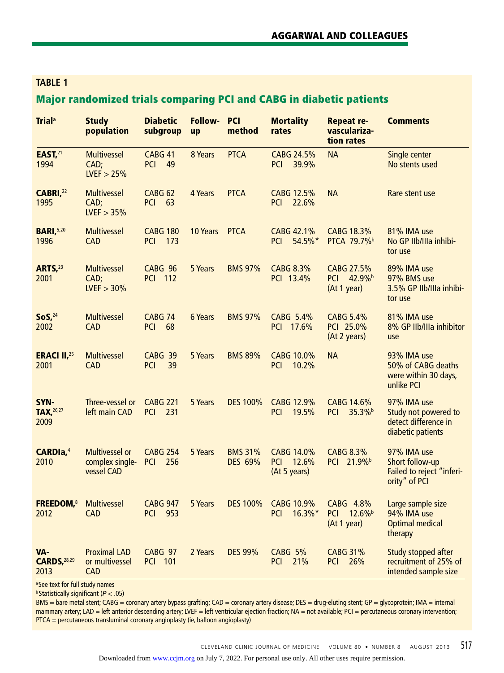## **Table 1**

## Major randomized trials comparing PCI and CABG in diabetic patients

| <b>Trial</b> <sup>a</sup>              | <b>Study</b><br>population                             | <b>Diabetic</b><br>subgroup            | Follow-<br>up | <b>PCI</b><br>method      | <b>Mortality</b><br>rates                         | <b>Repeat re-</b><br>vasculariza-<br>tion rates   | <b>Comments</b>                                                                  |
|----------------------------------------|--------------------------------------------------------|----------------------------------------|---------------|---------------------------|---------------------------------------------------|---------------------------------------------------|----------------------------------------------------------------------------------|
| EAST, <sup>21</sup><br>1994            | <b>Multivessel</b><br>CAD;<br>LVEF > 25%               | <b>CABG 41</b><br><b>PCI</b><br>49     | 8 Years       | <b>PTCA</b>               | CABG 24.5%<br><b>PCI</b><br>39.9%                 | <b>NA</b>                                         | Single center<br>No stents used                                                  |
| CABRI, <sup>22</sup><br>1995           | <b>Multivessel</b><br>CAD;<br>LVEF > 35%               | CABG <sub>62</sub><br><b>PCI</b><br>63 | 4 Years       | <b>PTCA</b>               | CABG 12.5%<br><b>PCI</b><br>22.6%                 | <b>NA</b>                                         | Rare stent use                                                                   |
| <b>BARI, 5,20</b><br>1996              | <b>Multivessel</b><br><b>CAD</b>                       | <b>CABG 180</b><br>173<br><b>PCI</b>   | 10 Years      | <b>PTCA</b>               | CABG 42.1%<br>54.5%*<br><b>PCI</b>                | CABG 18.3%<br>PTCA 79.7%                          | 81% IMA use<br>No GP IIb/IIIa inhibi-<br>tor use                                 |
| <b>ARTS</b> , <sup>23</sup><br>2001    | <b>Multivessel</b><br>CAD;<br>LVEF > 30%               | CABG 96<br><b>PCI 112</b>              | 5 Years       | <b>BMS 97%</b>            | <b>CABG 8.3%</b><br>PCI 13.4%                     | CABG 27.5%<br><b>PCI</b><br>42.9%b<br>(At 1 year) | 89% IMA use<br>97% BMS use<br>3.5% GP Ilb/Illa inhibi-<br>tor use                |
| SoS <sub>1</sub> <sup>24</sup><br>2002 | <b>Multivessel</b><br><b>CAD</b>                       | CABG <sub>74</sub><br><b>PCI</b><br>68 | 6 Years       | <b>BMS 97%</b>            | CABG 5.4%<br>PCI 17.6%                            | <b>CABG 5.4%</b><br>PCI 25.0%<br>(At 2 years)     | 81% IMA use<br>8% GP IIb/IIIa inhibitor<br>use                                   |
| <b>ERACI II, 25</b><br>2001            | <b>Multivessel</b><br><b>CAD</b>                       | CABG 39<br>39<br><b>PCI</b>            | 5 Years       | <b>BMS 89%</b>            | CABG 10.0%<br><b>PCI</b><br>10.2%                 | <b>NA</b>                                         | 93% IMA use<br>50% of CABG deaths<br>were within 30 days,<br>unlike PCI          |
| SYN-<br><b>TAX, 26,27</b><br>2009      | Three-vessel or<br>left main CAD                       | <b>CABG 221</b><br><b>PCI</b><br>231   | 5 Years       | <b>DES 100%</b>           | CABG 12.9%<br><b>PCI</b><br>19.5%                 | CABG 14.6%<br><b>PCI</b><br>35.3% <sup>b</sup>    | 97% IMA use<br>Study not powered to<br>detect difference in<br>diabetic patients |
| <b>CARDIa,4</b><br>2010                | <b>Multivessel or</b><br>complex single-<br>vessel CAD | <b>CABG 254</b><br><b>PCI</b><br>256   | 5 Years       | <b>BMS 31%</b><br>DES 69% | CABG 14.0%<br>12.6%<br><b>PCI</b><br>(At 5 years) | <b>CABG 8.3%</b><br>PCI 21.9%                     | 97% IMA use<br>Short follow-up<br>Failed to reject "inferi-<br>ority" of PCI     |
| <b>FREEDOM, 8</b><br>2012              | <b>Multivessel</b><br><b>CAD</b>                       | <b>CABG 947</b><br><b>PCI 953</b>      | 5 Years       | <b>DES 100%</b>           | <b>CABG 10.9%</b><br>PCI 16.3%*                   | CABG 4.8%<br>PCI 12.6%<br>(At 1 year)             | Large sample size<br>94% IMA use<br><b>Optimal medical</b><br>therapy            |
| VA-<br><b>CARDS, 28,29</b><br>2013     | <b>Proximal LAD</b><br>or multivessel<br><b>CAD</b>    | <b>CABG 97</b><br><b>PCI 101</b>       | 2 Years       | <b>DES 99%</b>            | <b>CABG 5%</b><br>21%<br><b>PCI</b>               | <b>CABG 31%</b><br><b>PCI</b><br>26%              | Study stopped after<br>recruitment of 25% of<br>intended sample size             |

a See text for full study names

<sup>b</sup> Statistically significant (*P* < .05)

BMS = bare metal stent; CABG = coronary artery bypass grafting; CAD = coronary artery disease; DES = drug-eluting stent; GP = glycoprotein; IMA = internal mammary artery; LAD = left anterior descending artery; LVEF = left ventricular ejection fraction; NA = not available; PCI = percutaneous coronary intervention; PTCA = percutaneous transluminal coronary angioplasty (ie, balloon angioplasty)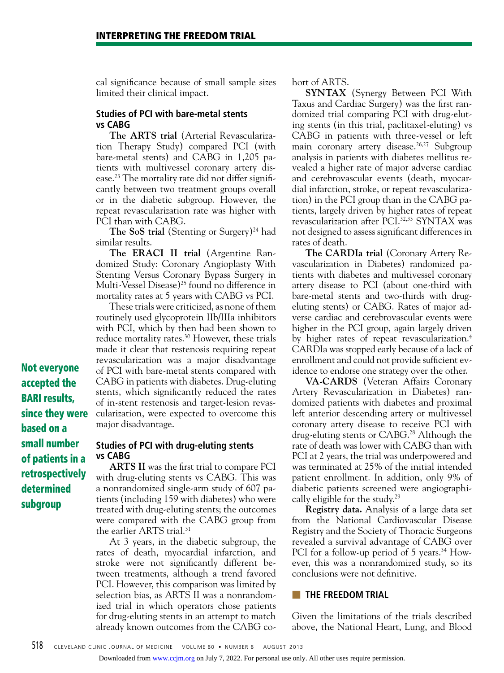cal significance because of small sample sizes limited their clinical impact.

#### **Studies of PCI with bare-metal stents vs CABG**

**The ARTS trial** (Arterial Revascularization Therapy Study) compared PCI (with bare-metal stents) and CABG in 1,205 patients with multivessel coronary artery disease.<sup>23</sup> The mortality rate did not differ significantly between two treatment groups overall or in the diabetic subgroup. However, the repeat revascularization rate was higher with PCI than with CABG.

**The SoS trial** (Stenting or Surgery)<sup>24</sup> had similar results.

**The ERACI II trial** (Argentine Randomized Study: Coronary Angioplasty With Stenting Versus Coronary Bypass Surgery in Multi-Vessel Disease)<sup>25</sup> found no difference in mortality rates at 5 years with CABG vs PCI.

These trials were criticized, as none of them routinely used glycoprotein IIb/IIIa inhibitors with PCI, which by then had been shown to reduce mortality rates.<sup>30</sup> However, these trials made it clear that restenosis requiring repeat revascularization was a major disadvantage of PCI with bare-metal stents compared with CABG in patients with diabetes. Drug-eluting stents, which significantly reduced the rates of in-stent restenosis and target-lesion revascularization, were expected to overcome this major disadvantage.

## **Studies of PCI with drug-eluting stents vs CABG**

**ARTS II** was the first trial to compare PCI with drug-eluting stents vs CABG. This was a nonrandomized single-arm study of 607 patients (including 159 with diabetes) who were treated with drug-eluting stents; the outcomes were compared with the CABG group from the earlier ARTS trial.<sup>31</sup>

At 3 years, in the diabetic subgroup, the rates of death, myocardial infarction, and stroke were not significantly different between treatments, although a trend favored PCI. However, this comparison was limited by selection bias, as ARTS II was a nonrandomized trial in which operators chose patients for drug-eluting stents in an attempt to match already known outcomes from the CABG co-

#### hort of ARTS.

**SYNTAX** (Synergy Between PCI With Taxus and Cardiac Surgery) was the first randomized trial comparing PCI with drug-eluting stents (in this trial, paclitaxel-eluting) vs CABG in patients with three-vessel or left main coronary artery disease.<sup>26,27</sup> Subgroup analysis in patients with diabetes mellitus revealed a higher rate of major adverse cardiac and cerebrovascular events (death, myocardial infarction, stroke, or repeat revascularization) in the PCI group than in the CABG patients, largely driven by higher rates of repeat revascularization after PCI.32,33 SYNTAX was not designed to assess significant differences in rates of death.

**The CARDIa trial** (Coronary Artery Revascularization in Diabetes) randomized patients with diabetes and multivessel coronary artery disease to PCI (about one-third with bare-metal stents and two-thirds with drugeluting stents) or CABG. Rates of major adverse cardiac and cerebrovascular events were higher in the PCI group, again largely driven by higher rates of repeat revascularization.<sup>4</sup> CARDIa was stopped early because of a lack of enrollment and could not provide sufficient evidence to endorse one strategy over the other.

**VA-CARDS** (Veteran Affairs Coronary Artery Revascularization in Diabetes) randomized patients with diabetes and proximal left anterior descending artery or multivessel coronary artery disease to receive PCI with drug-eluting stents or CABG.<sup>28</sup> Although the rate of death was lower with CABG than with PCI at 2 years, the trial was underpowered and was terminated at 25% of the initial intended patient enrollment. In addition, only 9% of diabetic patients screened were angiographically eligible for the study.<sup>29</sup>

**Registry data.** Analysis of a large data set from the National Cardiovascular Disease Registry and the Society of Thoracic Surgeons revealed a survival advantage of CABG over PCI for a follow-up period of 5 years.<sup>34</sup> However, this was a nonrandomized study, so its conclusions were not definitive.

#### **THE FREEDOM TRIAL**

Given the limitations of the trials described above, the National Heart, Lung, and Blood

Not everyone accepted the BARI results, since they were based on a small number of patients in a retrospectively determined subgroup

Downloaded from [www.ccjm.org](http://www.ccjm.org/) on July 7, 2022. For personal use only. All other uses require permission.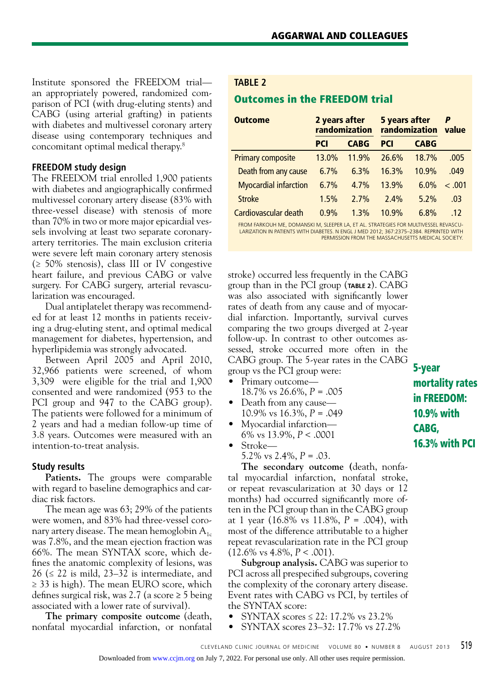Institute sponsored the FREEDOM trial an appropriately powered, randomized comparison of PCI (with drug-eluting stents) and CABG (using arterial grafting) in patients with diabetes and multivessel coronary artery disease using contemporary techniques and concomitant optimal medical therapy.8

#### **FREEDOM study design**

The FREEDOM trial enrolled 1,900 patients with diabetes and angiographically confirmed multivessel coronary artery disease (83% with three-vessel disease) with stenosis of more than 70% in two or more major epicardial vessels involving at least two separate coronaryartery territories. The main exclusion criteria were severe left main coronary artery stenosis  $(\geq 50\%$  stenosis), class III or IV congestive heart failure, and previous CABG or valve surgery. For CABG surgery, arterial revascularization was encouraged.

Dual antiplatelet therapy was recommended for at least 12 months in patients receiving a drug-eluting stent, and optimal medical management for diabetes, hypertension, and hyperlipidemia was strongly advocated.

Between April 2005 and April 2010, 32,966 patients were screened, of whom 3,309 were eligible for the trial and 1,900 consented and were randomized (953 to the PCI group and 947 to the CABG group). The patients were followed for a minimum of 2 years and had a median follow-up time of 3.8 years. Outcomes were measured with an intention-to-treat analysis.

#### **Study results**

**Patients.** The groups were comparable with regard to baseline demographics and cardiac risk factors.

The mean age was 63; 29% of the patients were women, and 83% had three-vessel coronary artery disease. The mean hemoglobin  $A_{1c}$ was 7.8%, and the mean ejection fraction was 66%. The mean SYNTAX score, which defines the anatomic complexity of lesions, was 26 ( $\leq$  22 is mild, 23–32 is intermediate, and ≥ 33 is high). The mean EURO score, which defines surgical risk, was 2.7 (a score ≥ 5 being associated with a lower rate of survival).

**The primary composite outcome** (death, nonfatal myocardial infarction, or nonfatal

#### **TABLE 2**

## Outcomes in the FREEDOM trial

| <b>Outcome</b>               | 2 years after | randomization | 5 years after<br>randomization value |             |        |
|------------------------------|---------------|---------------|--------------------------------------|-------------|--------|
|                              | <b>PCI</b>    | <b>CABG</b>   | <b>PCI</b>                           | <b>CABG</b> |        |
| <b>Primary composite</b>     | 13.0%         | 11.9%         | 26.6%                                | 18.7%       | .005   |
| Death from any cause         | 6.7%          | 6.3%          | 16.3%                                | 10.9%       | .049   |
| <b>Myocardial infarction</b> | 6.7%          | 4.7%          | 13.9%                                | 6.0%        | < .001 |
| <b>Stroke</b>                | 1.5%          | 2.7%          | $2.4\%$                              | 5.2%        | .03    |
| Cardiovascular death         | 0.9%          | 1.3%          | 10.9%                                | 6.8%        | -12    |

FROM Farkouh ME, Domanski M, Sleeper LA, et al. Strategies for multivessel revascularization in patients with diabetes. N Engl J Med 2012; 367:2375–2384. Reprinted with permission from the Massachusetts Medical Society.

stroke) occurred less frequently in the CABG group than in the PCI group (**TABLE 2**). CABG was also associated with significantly lower rates of death from any cause and of myocardial infarction. Importantly, survival curves comparing the two groups diverged at 2-year follow-up. In contrast to other outcomes assessed, stroke occurred more often in the CABG group. The 5-year rates in the CABG group vs the PCI group were:

- Primary outcome— 18.7% vs 26.6%, *P* = .005
- Death from any cause— 10.9% vs 16.3%, *P* = .049
- Myocardial infarction— 6% vs 13.9%, *P* < .0001
- Stroke—
	- 5.2% vs 2.4%, *P* = .03.

**The secondary outcome (**death, nonfatal myocardial infarction, nonfatal stroke, or repeat revascularization at 30 days or 12 months) had occurred significantly more often in the PCI group than in the CABG group at 1 year (16.8% vs 11.8%, *P* = .004), with most of the difference attributable to a higher repeat revascularization rate in the PCI group (12.6% vs 4.8%, *P* < .001).

**Subgroup analysis.** CABG was superior to PCI across all prespecified subgroups, covering the complexity of the coronary artery disease. Event rates with CABG vs PCI, by tertiles of the SYNTAX score:

- SYNTAX scores  $\leq$  22: 17.2% vs 23.2%
- SYNTAX scores 23–32: 17.7% vs 27.2%

5-year mortality rates in FREEDOM: 10.9% with CABG, 16.3% with PCI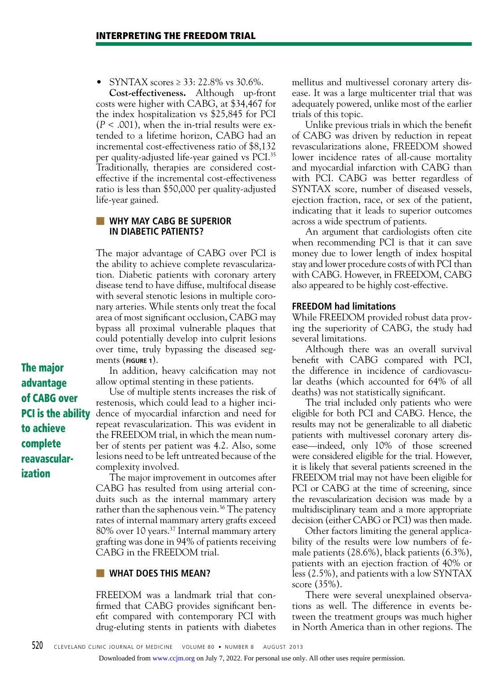SYNTAX scores ≥ 33: 22.8% vs 30.6%.

**Cost-effectiveness.** Although up-front costs were higher with CABG, at \$34,467 for the index hospitalization vs \$25,845 for PCI  $(P < .001)$ , when the in-trial results were extended to a lifetime horizon, CABG had an incremental cost-effectiveness ratio of \$8,132 per quality-adjusted life-year gained vs PCI.35 Traditionally, therapies are considered costeffective if the incremental cost-effectiveness ratio is less than \$50,000 per quality-adjusted life-year gained.

#### ■ **WHY MAY CABG BE SUPERIOR IN DIABETIC PATIENTS?**

The major advantage of CABG over PCI is the ability to achieve complete revascularization. Diabetic patients with coronary artery disease tend to have diffuse, multifocal disease with several stenotic lesions in multiple coronary arteries. While stents only treat the focal area of most significant occlusion, CABG may bypass all proximal vulnerable plaques that could potentially develop into culprit lesions over time, truly bypassing the diseased segments (**FIGURE 1**).

The major advantage of CABG over PCI is the ability to achieve complete reavascularization

In addition, heavy calcification may not allow optimal stenting in these patients.

Use of multiple stents increases the risk of restenosis, which could lead to a higher incidence of myocardial infarction and need for repeat revascularization. This was evident in the FREEDOM trial, in which the mean number of stents per patient was 4.2. Also, some lesions need to be left untreated because of the complexity involved.

The major improvement in outcomes after CABG has resulted from using arterial conduits such as the internal mammary artery rather than the saphenous vein.<sup>36</sup> The patency rates of internal mammary artery grafts exceed 80% over 10 years.37 Internal mammary artery grafting was done in 94% of patients receiving CABG in the FREEDOM trial.

#### **WHAT DOES THIS MEAN?**

FREEDOM was a landmark trial that confirmed that CABG provides significant benefit compared with contemporary PCI with drug-eluting stents in patients with diabetes mellitus and multivessel coronary artery disease. It was a large multicenter trial that was adequately powered, unlike most of the earlier trials of this topic.

Unlike previous trials in which the benefit of CABG was driven by reduction in repeat revascularizations alone, FREEDOM showed lower incidence rates of all-cause mortality and myocardial infarction with CABG than with PCI. CABG was better regardless of SYNTAX score, number of diseased vessels, ejection fraction, race, or sex of the patient, indicating that it leads to superior outcomes across a wide spectrum of patients.

An argument that cardiologists often cite when recommending PCI is that it can save money due to lower length of index hospital stay and lower procedure costs of with PCI than with CABG. However, in FREEDOM, CABG also appeared to be highly cost-effective.

#### **FREEDOM had limitations**

While FREEDOM provided robust data proving the superiority of CABG, the study had several limitations.

Although there was an overall survival benefit with CABG compared with PCI, the difference in incidence of cardiovascular deaths (which accounted for 64% of all deaths) was not statistically significant.

The trial included only patients who were eligible for both PCI and CABG. Hence, the results may not be generalizable to all diabetic patients with multivessel coronary artery disease—indeed, only 10% of those screened were considered eligible for the trial. However, it is likely that several patients screened in the FREEDOM trial may not have been eligible for PCI or CABG at the time of screening, since the revascularization decision was made by a multidisciplinary team and a more appropriate decision (either CABG or PCI) was then made.

Other factors limiting the general applicability of the results were low numbers of female patients (28.6%), black patients (6.3%), patients with an ejection fraction of 40% or less (2.5%), and patients with a low SYNTAX score (35%).

There were several unexplained observations as well. The difference in events between the treatment groups was much higher in North America than in other regions. The

Downloaded from [www.ccjm.org](http://www.ccjm.org/) on July 7, 2022. For personal use only. All other uses require permission.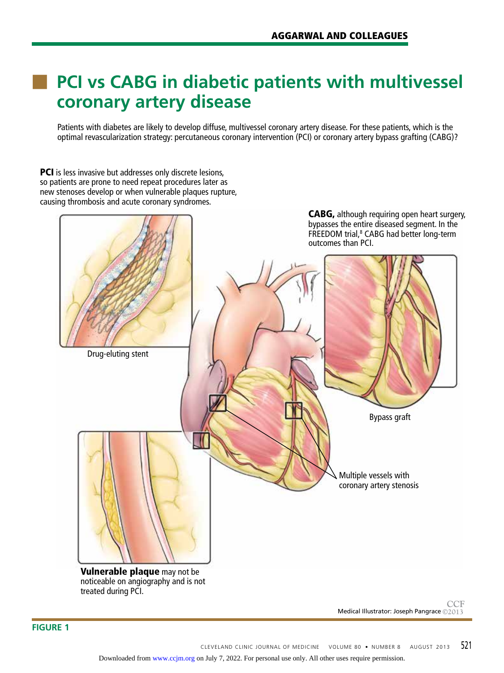## **PCI vs CABG in diabetic patients with multivessel coronary artery disease**

Patients with diabetes are likely to develop diffuse, multivessel coronary artery disease. For these patients, which is the optimal revascularization strategy: percutaneous coronary intervention (PCI) or coronary artery bypass grafting (CABG)?

PCI is less invasive but addresses only discrete lesions, so patients are prone to need repeat procedures later as new stenoses develop or when vulnerable plaques rupture, causing thrombosis and acute coronary syndromes.



Medical Illustrator: Joseph Pangrace **©2013 CCF**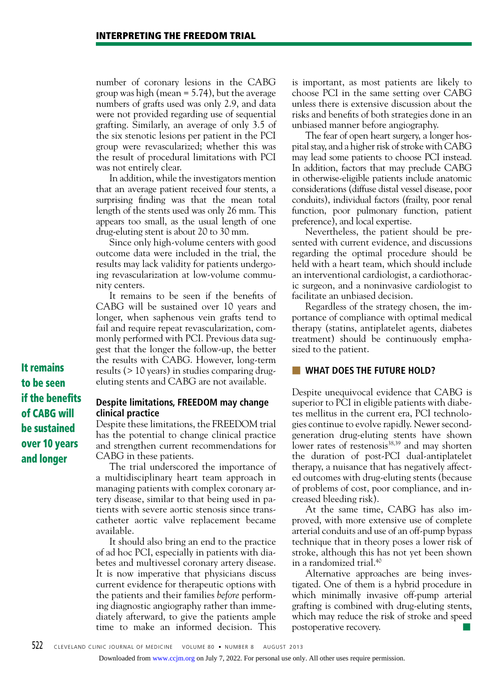number of coronary lesions in the CABG group was high (mean = 5.74), but the average numbers of grafts used was only 2.9, and data were not provided regarding use of sequential grafting. Similarly, an average of only 3.5 of the six stenotic lesions per patient in the PCI group were revascularized; whether this was the result of procedural limitations with PCI was not entirely clear.

In addition, while the investigators mention that an average patient received four stents, a surprising finding was that the mean total length of the stents used was only 26 mm. This appears too small, as the usual length of one drug-eluting stent is about 20 to 30 mm.

Since only high-volume centers with good outcome data were included in the trial, the results may lack validity for patients undergoing revascularization at low-volume community centers.

It remains to be seen if the benefits of CABG will be sustained over 10 years and longer, when saphenous vein grafts tend to fail and require repeat revascularization, commonly performed with PCI. Previous data suggest that the longer the follow-up, the better the results with CABG. However, long-term results (> 10 years) in studies comparing drugeluting stents and CABG are not available.

It remains to be seen if the benefits of CABG will be sustained over 10 years and longer

#### **Despite limitations, FREEDOM may change clinical practice**

Despite these limitations, the FREEDOM trial has the potential to change clinical practice and strengthen current recommendations for CABG in these patients.

The trial underscored the importance of a multidisciplinary heart team approach in managing patients with complex coronary artery disease, similar to that being used in patients with severe aortic stenosis since transcatheter aortic valve replacement became available.

It should also bring an end to the practice of ad hoc PCI, especially in patients with diabetes and multivessel coronary artery disease. It is now imperative that physicians discuss current evidence for therapeutic options with the patients and their families *before* performing diagnostic angiography rather than immediately afterward, to give the patients ample time to make an informed decision. This

is important, as most patients are likely to choose PCI in the same setting over CABG unless there is extensive discussion about the risks and benefits of both strategies done in an unbiased manner before angiography.

The fear of open heart surgery, a longer hospital stay, and a higher risk of stroke with CABG may lead some patients to choose PCI instead. In addition, factors that may preclude CABG in otherwise-eligible patients include anatomic considerations (diffuse distal vessel disease, poor conduits), individual factors (frailty, poor renal function, poor pulmonary function, patient preference), and local expertise.

Nevertheless, the patient should be presented with current evidence, and discussions regarding the optimal procedure should be held with a heart team, which should include an interventional cardiologist, a cardiothoracic surgeon, and a noninvasive cardiologist to facilitate an unbiased decision.

Regardless of the strategy chosen, the importance of compliance with optimal medical therapy (statins, antiplatelet agents, diabetes treatment) should be continuously emphasized to the patient.

#### ■ **What does the FUTURE Hold?**

Despite unequivocal evidence that CABG is superior to PCI in eligible patients with diabetes mellitus in the current era, PCI technologies continue to evolve rapidly. Newer secondgeneration drug-eluting stents have shown lower rates of restenosis<sup>38,39</sup> and may shorten the duration of post-PCI dual-antiplatelet therapy, a nuisance that has negatively affected outcomes with drug-eluting stents (because of problems of cost, poor compliance, and increased bleeding risk).

At the same time, CABG has also improved, with more extensive use of complete arterial conduits and use of an off-pump bypass technique that in theory poses a lower risk of stroke, although this has not yet been shown in a randomized trial.40

Alternative approaches are being investigated. One of them is a hybrid procedure in which minimally invasive off-pump arterial grafting is combined with drug-eluting stents, which may reduce the risk of stroke and speed postoperative recovery.